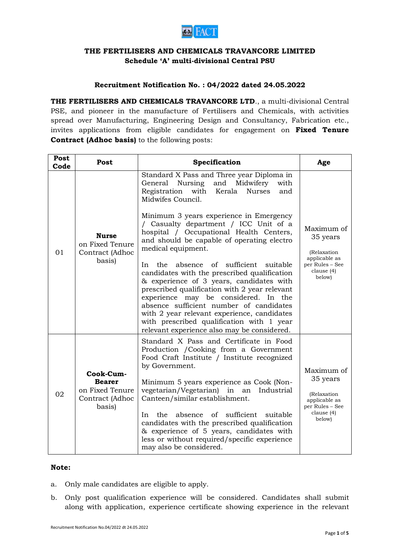

## **THE FERTILISERS AND CHEMICALS TRAVANCORE LIMITED Schedule "A" multi-divisional Central PSU**

## **Recruitment Notification No. : 04/2022 dated 24.05.2022**

**THE FERTILISERS AND CHEMICALS TRAVANCORE LTD**., a multi-divisional Central PSE, and pioneer in the manufacture of Fertilisers and Chemicals, with activities spread over Manufacturing, Engineering Design and Consultancy, Fabrication etc., invites applications from eligible candidates for engagement on **Fixed Tenure Contract (Adhoc basis)** to the following posts:

| Post<br>Code | Post                                                                       | Specification                                                                                                                                                                                                                                                                                                                                                                                                                                                                                                                                                                                                                                                                                                                                                                                               | Age                                                                                               |
|--------------|----------------------------------------------------------------------------|-------------------------------------------------------------------------------------------------------------------------------------------------------------------------------------------------------------------------------------------------------------------------------------------------------------------------------------------------------------------------------------------------------------------------------------------------------------------------------------------------------------------------------------------------------------------------------------------------------------------------------------------------------------------------------------------------------------------------------------------------------------------------------------------------------------|---------------------------------------------------------------------------------------------------|
| 01           | <b>Nurse</b><br>on Fixed Tenure<br>Contract (Adhoc<br>basis)               | Standard X Pass and Three year Diploma in<br>and<br>Nursing<br>Midwifery<br>General<br>with<br>Registration<br>with Kerala<br><b>Nurses</b><br>and<br>Midwifes Council.<br>Minimum 3 years experience in Emergency<br>/ Casualty department / ICC Unit of a<br>hospital / Occupational Health Centers,<br>and should be capable of operating electro<br>medical equipment.<br>sufficient<br>absence of<br>In<br>the.<br>suitable<br>candidates with the prescribed qualification<br>& experience of 3 years, candidates with<br>prescribed qualification with 2 year relevant<br>experience may be considered. In the<br>absence sufficient number of candidates<br>with 2 year relevant experience, candidates<br>with prescribed qualification with 1 year<br>relevant experience also may be considered. | Maximum of<br>35 years<br>(Relaxation<br>applicable as<br>per Rules – See<br>clause (4)<br>below) |
| 02           | Cook-Cum-<br><b>Bearer</b><br>on Fixed Tenure<br>Contract (Adhoc<br>basis) | Standard X Pass and Certificate in Food<br>Production / Cooking from a Government<br>Food Craft Institute / Institute recognized<br>by Government.<br>Minimum 5 years experience as Cook (Non-<br>vegetarian/Vegetarian) in an<br>Industrial<br>Canteen/similar establishment.<br>the absence of sufficient suitable<br>In I<br>candidates with the prescribed qualification<br>& experience of 5 years, candidates with<br>less or without required/specific experience<br>may also be considered.                                                                                                                                                                                                                                                                                                         | Maximum of<br>35 years<br>(Relaxation<br>applicable as<br>per Rules – See<br>clause (4)<br>below) |

## **Note:**

- a. Only male candidates are eligible to apply.
- b. Only post qualification experience will be considered. Candidates shall submit along with application, experience certificate showing experience in the relevant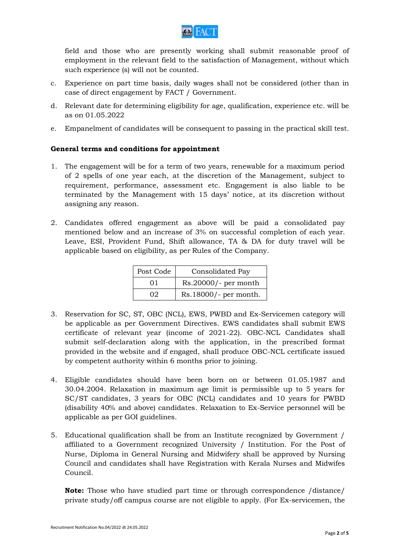

field and those who are presently working shall submit reasonable proof of employment in the relevant field to the satisfaction of Management, without which such experience (s) will not be counted.

- c. Experience on part time basis, daily wages shall not be considered (other than in case of direct engagement by FACT / Government.
- d. Relevant date for determining eligibility for age, qualification, experience etc. will be as on 01.05.2022
- e. Empanelment of candidates will be consequent to passing in the practical skill test.

## **General terms and conditions for appointment**

- 1. The engagement will be for a term of two years, renewable for a maximum period of 2 spells of one year each, at the discretion of the Management, subject to requirement, performance, assessment etc. Engagement is also liable to be terminated by the Management with 15 days' notice, at its discretion without assigning any reason.
- 2. Candidates offered engagement as above will be paid a consolidated pay mentioned below and an increase of 3% on successful completion of each year. Leave, ESI, Provident Fund, Shift allowance, TA & DA for duty travel will be applicable based on eligibility, as per Rules of the Company.

| Post Code | Consolidated Pay       |
|-----------|------------------------|
| 01        | $Rs.20000/-$ per month |
| 02.       | Rs.18000/- per month.  |

- 3. Reservation for SC, ST, OBC (NCL), EWS, PWBD and Ex-Servicemen category will be applicable as per Government Directives. EWS candidates shall submit EWS certificate of relevant year (income of 2021-22). OBC-NCL Candidates shall submit self-declaration along with the application, in the prescribed format provided in the website and if engaged, shall produce OBC-NCL certificate issued by competent authority within 6 months prior to joining.
- 4. Eligible candidates should have been born on or between 01.05.1987 and 30.04.2004. Relaxation in maximum age limit is permissible up to 5 years for SC/ST candidates, 3 years for OBC (NCL) candidates and 10 years for PWBD (disability 40% and above) candidates. Relaxation to Ex-Service personnel will be applicable as per GOI guidelines.
- 5. Educational qualification shall be from an Institute recognized by Government / affiliated to a Government recognized University / Institution. For the Post of Nurse, Diploma in General Nursing and Midwifery shall be approved by Nursing Council and candidates shall have Registration with Kerala Nurses and Midwifes Council.

**Note:** Those who have studied part time or through correspondence /distance/ private study/off campus course are not eligible to apply. (For Ex-servicemen, the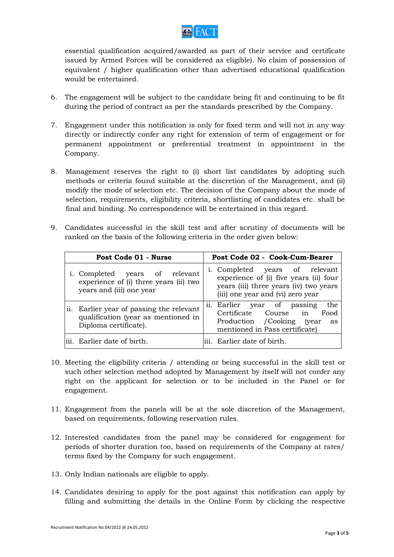

essential qualification acquired/awarded as part of their service and certificate issued by Armed Forces will be considered as eligible). No claim of possession of equivalent / higher qualification other than advertised educational qualification would be entertained.

- 6. The engagement will be subject to the candidate being fit and continuing to be fit during the period of contract as per the standards prescribed by the Company.
- 7. Engagement under this notification is only for fixed term and will not in any way directly or indirectly confer any right for extension of term of engagement or for permanent appointment or preferential treatment in appointment in the Company.
- 8. Management reserves the right to (i) short list candidates by adopting such methods or criteria found suitable at the discretion of the Management, and (ii) modify the mode of selection etc. The decision of the Company about the mode of selection, requirements, eligibility criteria, shortlisting of candidates etc. shall be final and binding. No correspondence will be entertained in this regard.
- 9. Candidates successful in the skill test and after scrutiny of documents will be ranked on the basis of the following criteria in the order given below:

| Post Code 01 - Nurse                                                                                     | Post Code 02 - Cook-Cum-Bearer                                                                                                                          |
|----------------------------------------------------------------------------------------------------------|---------------------------------------------------------------------------------------------------------------------------------------------------------|
| i. Completed years of relevant<br>experience of (i) three years (ii) two<br>years and (iii) one year     | i. Completed years of relevant<br>experience of (i) five years (ii) four<br>years (iii) three years (iv) two years<br>(iii) one year and (vi) zero year |
| ii. Earlier year of passing the relevant<br>qualification (year as mentioned in<br>Diploma certificate). | ii. Earlier year of passing<br>the<br>Certificate Course in<br>Food<br>Production / Cooking (year<br>as<br>mentioned in Pass certificate)               |
| iii. Earlier date of birth.                                                                              | iii. Earlier date of birth.                                                                                                                             |

- 10. Meeting the eligibility criteria / attending or being successful in the skill test or such other selection method adopted by Management by itself will not confer any right on the applicant for selection or to be included in the Panel or for engagement.
- 11. Engagement from the panels will be at the sole discretion of the Management, based on requirements, following reservation rules.
- 12. Interested candidates from the panel may be considered for engagement for periods of shorter duration too, based on requirements of the Company at rates/ terms fixed by the Company for such engagement.
- 13. Only Indian nationals are eligible to apply.
- 14. Candidates desiring to apply for the post against this notification can apply by filling and submitting the details in the Online Form by clicking the respective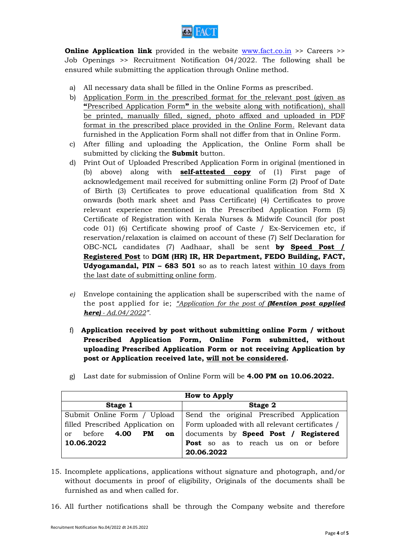

**Online Application link** provided in the website [www.fact.co.in](http://www.fact.co.in/) >> Careers >> Job Openings >> Recruitment Notification 04/2022. The following shall be ensured while submitting the application through Online method.

- a) All necessary data shall be filled in the Online Forms as prescribed.
- b) Application Form in the prescribed format for the relevant post (given as **"**Prescribed Application Form**"** in the website along with notification), shall be printed, manually filled, signed, photo affixed and uploaded in PDF format in the prescribed place provided in the Online Form. Relevant data furnished in the Application Form shall not differ from that in Online Form.
- c) After filling and uploading the Application, the Online Form shall be submitted by clicking the **Submit** button.
- d) Print Out of Uploaded Prescribed Application Form in original (mentioned in (b) above) along with **self-attested copy** of (1) First page of acknowledgement mail received for submitting online Form (2) Proof of Date of Birth (3) Certificates to prove educational qualification from Std X onwards (both mark sheet and Pass Certificate) (4) Certificates to prove relevant experience mentioned in the Prescribed Application Form (5) Certificate of Registration with Kerala Nurses & Midwife Council (for post code 01) (6) Certificate showing proof of Caste / Ex-Servicemen etc, if reservation/relaxation is claimed on account of these (7) Self Declaration for OBC-NCL candidates (7) Aadhaar, shall be sent **by Speed Post / Registered Post** to **DGM (HR) IR, HR Department, FEDO Building, FACT, Udyogamandal, PIN – 683 501** so as to reach latest within 10 days from the last date of submitting online form.
- *e)* Envelope containing the application shall be superscribed with the name of the post applied for ie; *"Application for the post of (Mention post applied here) - Ad.04/2022".*
- f) **Application received by post without submitting online Form / without Prescribed Application Form, Online Form submitted, without uploading Prescribed Application Form or not receiving Application by post or Application received late, will not be considered.**

| How to Apply                             |                                                |  |  |  |
|------------------------------------------|------------------------------------------------|--|--|--|
| Stage 1                                  | Stage 2                                        |  |  |  |
| Submit Online Form / Upload              | Send the original Prescribed Application       |  |  |  |
| filled Prescribed Application on         | Form uploaded with all relevant certificates / |  |  |  |
| before 4.00<br>PM<br>on<br><sub>or</sub> | documents by Speed Post / Registered           |  |  |  |
| 10.06.2022                               | <b>Post</b> so as to reach us on or before     |  |  |  |
|                                          | 20.06.2022                                     |  |  |  |

g) Last date for submission of Online Form will be **4.00 PM on 10.06.2022.**

- 15. Incomplete applications, applications without signature and photograph, and/or without documents in proof of eligibility, Originals of the documents shall be furnished as and when called for.
- 16. All further notifications shall be through the Company website and therefore